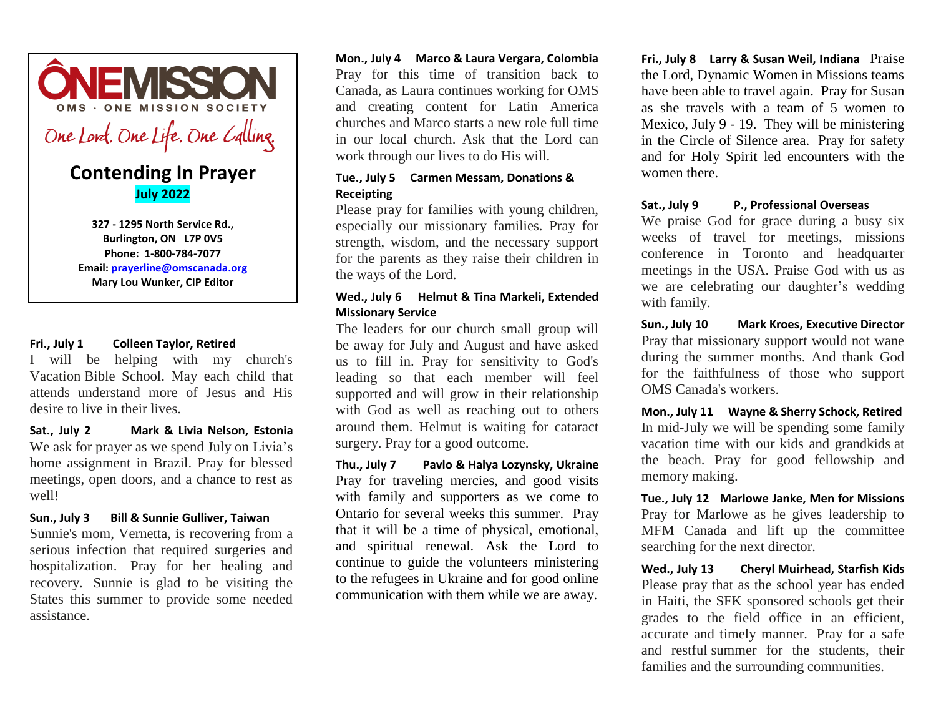

# **Contending In Prayer July 2022**

**327 - 1295 North Service Rd., Burlington, ON L7P 0V5 Phone: 1-800-784-7077 Email: [prayerline@omscanada.org](mailto:prayerline@omscanada.org) Mary Lou Wunker, CIP Editor**

#### **Fri., July 1 Colleen Taylor, Retired**

I will be helping with my church's Vacation Bible School. May each child that attends understand more of Jesus and His desire to live in their lives.

**Sat., July 2 Mark & Livia Nelson, Estonia**  We ask for prayer as we spend July on Livia's home assignment in Brazil. Pray for blessed meetings, open doors, and a chance to rest as well! 

# **Sun., July 3 Bill & Sunnie Gulliver, Taiwan**

Sunnie's mom, Vernetta, is recovering from a serious infection that required surgeries and hospitalization. Pray for her healing and recovery. Sunnie is glad to be visiting the States this summer to provide some needed assistance.

**Mon., July 4 Marco & Laura Vergara, Colombia** Pray for this time of transition back to Canada, as Laura continues working for OMS and creating content for Latin America churches and Marco starts a new role full time in our local church. Ask that the Lord can work through our lives to do His will.

# **Tue., July 5 Carmen Messam, Donations & Receipting**

Please pray for families with young children, especially our missionary families. Pray for strength, wisdom, and the necessary support for the parents as they raise their children in the ways of the Lord.

# **Wed., July 6 Helmut & Tina Markeli, Extended Missionary Service**

The leaders for our church small group will be away for July and August and have asked us to fill in. Pray for sensitivity to God's leading so that each member will feel supported and will grow in their relationship with God as well as reaching out to others around them. Helmut is waiting for cataract surgery. Pray for a good outcome.

**Thu., July 7 Pavlo & Halya Lozynsky, Ukraine**  Pray for traveling mercies, and good visits with family and supporters as we come to Ontario for several weeks this summer. Pray that it will be a time of physical, emotional, and spiritual renewal. Ask the Lord to continue to guide the volunteers ministering to the refugees in Ukraine and for good online communication with them while we are away.

**Fri., July 8 Larry & Susan Weil, Indiana** Praise the Lord, Dynamic Women in Missions teams have been able to travel again. Pray for Susan as she travels with a team of 5 women to Mexico, July 9 - 19. They will be ministering in the Circle of Silence area. Pray for safety and for Holy Spirit led encounters with the women there.

# **Sat., July 9 P., Professional Overseas**

We praise God for grace during a busy six weeks of travel for meetings, missions conference in Toronto and headquarter meetings in the USA. Praise God with us as we are celebrating our daughter's wedding with family.

**Sun., July 10 Mark Kroes, Executive Director**  Pray that missionary support would not wane during the summer months. And thank God for the faithfulness of those who support OMS Canada's workers.

**Mon., July 11 Wayne & Sherry Schock, Retired** In mid-July we will be spending some family vacation time with our kids and grandkids at the beach. Pray for good fellowship and memory making.

**Tue., July 12 Marlowe Janke, Men for Missions**  Pray for Marlowe as he gives leadership to MFM Canada and lift up the committee searching for the next director.

**Wed., July 13 Cheryl Muirhead, Starfish Kids**  Please pray that as the school year has ended in Haiti, the SFK sponsored schools get their grades to the field office in an efficient, accurate and timely manner. Pray for a safe and restful summer for the students, their families and the surrounding communities.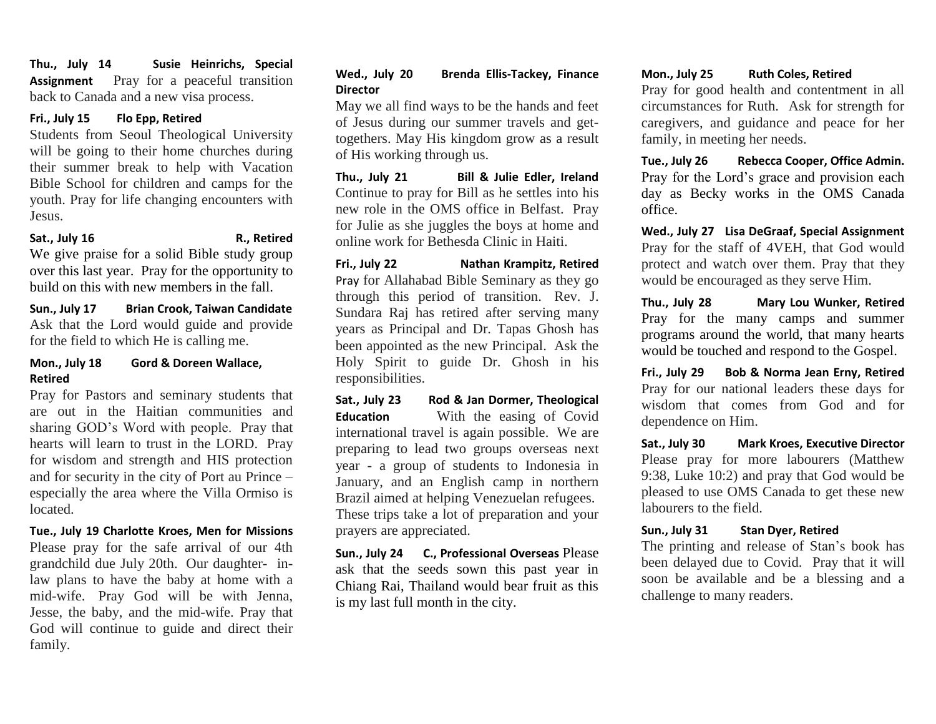**Thu., July 14 Susie Heinrichs, Special Assignment** Pray for a peaceful transition back to Canada and a new visa process.

#### **Fri., July 15 Flo Epp, Retired**

Students from Seoul Theological University will be going to their home churches during their summer break to help with Vacation Bible School for children and camps for the youth. Pray for life changing encounters with Jesus.

#### Sat., July 16 **R., Retired**

We give praise for a solid Bible study group over this last year. Pray for the opportunity to build on this with new members in the fall.

**Sun., July 17 Brian Crook, Taiwan Candidate**  Ask that the Lord would guide and provide for the field to which He is calling me.

#### **Mon., July 18 Gord & Doreen Wallace, Retired**

Pray for Pastors and seminary students that are out in the Haitian communities and sharing GOD's Word with people. Pray that hearts will learn to trust in the LORD. Pray for wisdom and strength and HIS protection and for security in the city of Port au Prince – especially the area where the Villa Ormiso is located.

**Tue., July 19 Charlotte Kroes, Men for Missions** Please pray for the safe arrival of our 4th grandchild due July 20th. Our daughter- inlaw plans to have the baby at home with a mid-wife. Pray God will be with Jenna, Jesse, the baby, and the mid-wife. Pray that God will continue to guide and direct their family.

# **Wed., July 20 Brenda Ellis-Tackey, Finance Director**

May we all find ways to be the hands and feet of Jesus during our summer travels and gettogethers. May His kingdom grow as a result of His working through us.

**Thu., July 21 Bill & Julie Edler, Ireland**  Continue to pray for Bill as he settles into his new role in the OMS office in Belfast. Pray for Julie as she juggles the boys at home and online work for Bethesda Clinic in Haiti.

**Fri., July 22 Nathan Krampitz, Retired** Pray for Allahabad Bible Seminary as they go through this period of transition. Rev. J. Sundara Raj has retired after serving many years as Principal and Dr. Tapas Ghosh has been appointed as the new Principal. Ask the Holy Spirit to guide Dr. Ghosh in his responsibilities. 

**Sat., July 23 Rod & Jan Dormer, Theological Education** With the easing of Covid international travel is again possible. We are preparing to lead two groups overseas next year - a group of students to Indonesia in January, and an English camp in northern Brazil aimed at helping Venezuelan refugees. These trips take a lot of preparation and your prayers are appreciated.

**Sun., July 24 C., Professional Overseas** Please ask that the seeds sown this past year in Chiang Rai, Thailand would bear fruit as this is my last full month in the city.

#### **Mon., July 25 Ruth Coles, Retired**

Pray for good health and contentment in all circumstances for Ruth. Ask for strength for caregivers, and guidance and peace for her family, in meeting her needs.

**Tue., July 26 Rebecca Cooper, Office Admin.** Pray for the Lord's grace and provision each day as Becky works in the OMS Canada office.

**Wed., July 27 Lisa DeGraaf, Special Assignment**  Pray for the staff of 4VEH, that God would protect and watch over them. Pray that they would be encouraged as they serve Him.

**Thu., July 28 Mary Lou Wunker, Retired** Pray for the many camps and summer programs around the world, that many hearts would be touched and respond to the Gospel.

**Fri., July 29 Bob & Norma Jean Erny, Retired** Pray for our national leaders these days for wisdom that comes from God and for dependence on Him.

**Sat., July 30 Mark Kroes, Executive Director**  Please pray for more labourers (Matthew 9:38, Luke 10:2) and pray that God would be pleased to use OMS Canada to get these new labourers to the field.

#### **Sun., July 31 Stan Dyer, Retired**

The printing and release of Stan's book has been delayed due to Covid. Pray that it will soon be available and be a blessing and a challenge to many readers.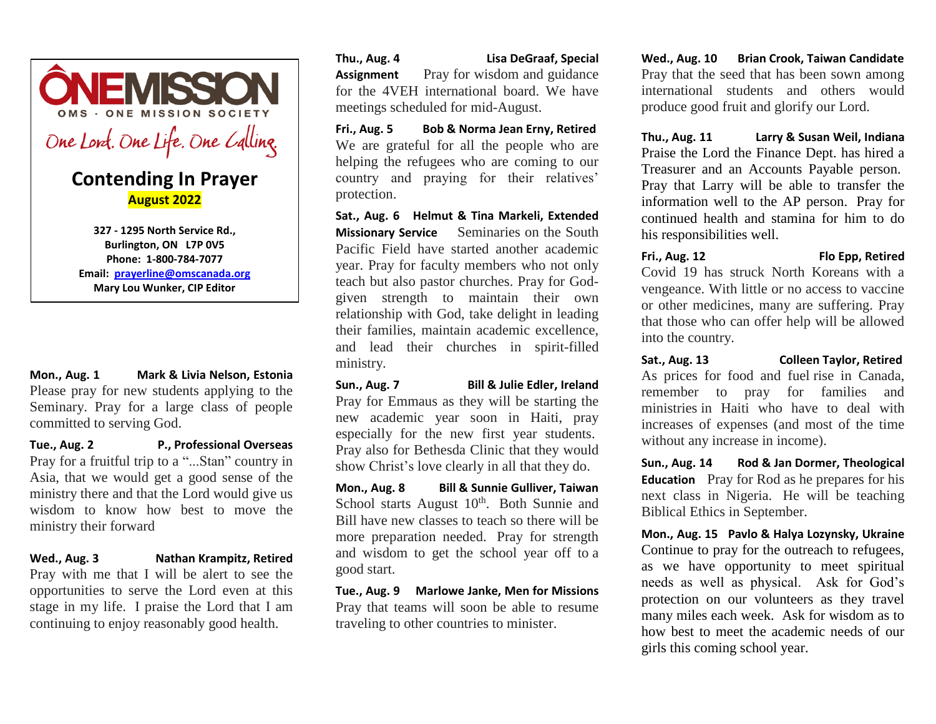

**327 - 1295 North Service Rd., Burlington, ON L7P 0V5 Phone: 1-800-784-7077 Email: [prayerline@omscanada.org](mailto:prayerline@omscanada.org) Mary Lou Wunker, CIP Editor**

**Mon., Aug. 1 Mark & Livia Nelson, Estonia**  Please pray for new students applying to the Seminary. Pray for a large class of people committed to serving God.

**Tue., Aug. 2 P., Professional Overseas**  Pray for a fruitful trip to a "...Stan" country in Asia, that we would get a good sense of the ministry there and that the Lord would give us wisdom to know how best to move the ministry their forward

**Wed., Aug. 3 Nathan Krampitz, Retired**  Pray with me that I will be alert to see the opportunities to serve the Lord even at this stage in my life. I praise the Lord that I am continuing to enjoy reasonably good health.

**Thu., Aug. 4 Lisa DeGraaf, Special Assignment** Pray for wisdom and guidance for the 4VEH international board. We have meetings scheduled for mid-August.

**Fri., Aug. 5 Bob & Norma Jean Erny, Retired**  We are grateful for all the people who are helping the refugees who are coming to our country and praying for their relatives' protection.

**Sat., Aug. 6 Helmut & Tina Markeli, Extended Missionary Service** Seminaries on the South Pacific Field have started another academic year. Pray for faculty members who not only teach but also pastor churches. Pray for Godgiven strength to maintain their own relationship with God, take delight in leading their families, maintain academic excellence, and lead their churches in spirit-filled ministry.

**Sun., Aug. 7 Bill & Julie Edler, Ireland**  Pray for Emmaus as they will be starting the new academic year soon in Haiti, pray especially for the new first year students. Pray also for Bethesda Clinic that they would show Christ's love clearly in all that they do.

**Mon., Aug. 8 Bill & Sunnie Gulliver, Taiwan**  School starts August 10<sup>th</sup>. Both Sunnie and Bill have new classes to teach so there will be more preparation needed. Pray for strength and wisdom to get the school year off to a good start.

**Tue., Aug. 9 Marlowe Janke, Men for Missions**  Pray that teams will soon be able to resume traveling to other countries to minister.

**Wed., Aug. 10 Brian Crook, Taiwan Candidate**  Pray that the seed that has been sown among international students and others would produce good fruit and glorify our Lord.

**Thu., Aug. 11 Larry & Susan Weil, Indiana**  Praise the Lord the Finance Dept. has hired a Treasurer and an Accounts Payable person. Pray that Larry will be able to transfer the information well to the AP person. Pray for continued health and stamina for him to do his responsibilities well.

#### **Fri., Aug. 12 Flo Epp, Retired**

Covid 19 has struck North Koreans with a vengeance. With little or no access to vaccine or other medicines, many are suffering. Pray that those who can offer help will be allowed into the country.

**Sat., Aug. 13 Colleen Taylor, Retired** As prices for food and fuel rise in Canada, remember to pray for families and ministries in Haiti who have to deal with increases of expenses (and most of the time without any increase in income).

**Sun., Aug. 14 Rod & Jan Dormer, Theological Education** Pray for Rod as he prepares for his next class in Nigeria. He will be teaching Biblical Ethics in September.

**Mon., Aug. 15 Pavlo & Halya Lozynsky, Ukraine**  Continue to pray for the outreach to refugees, as we have opportunity to meet spiritual needs as well as physical. Ask for God's protection on our volunteers as they travel many miles each week. Ask for wisdom as to how best to meet the academic needs of our girls this coming school year.